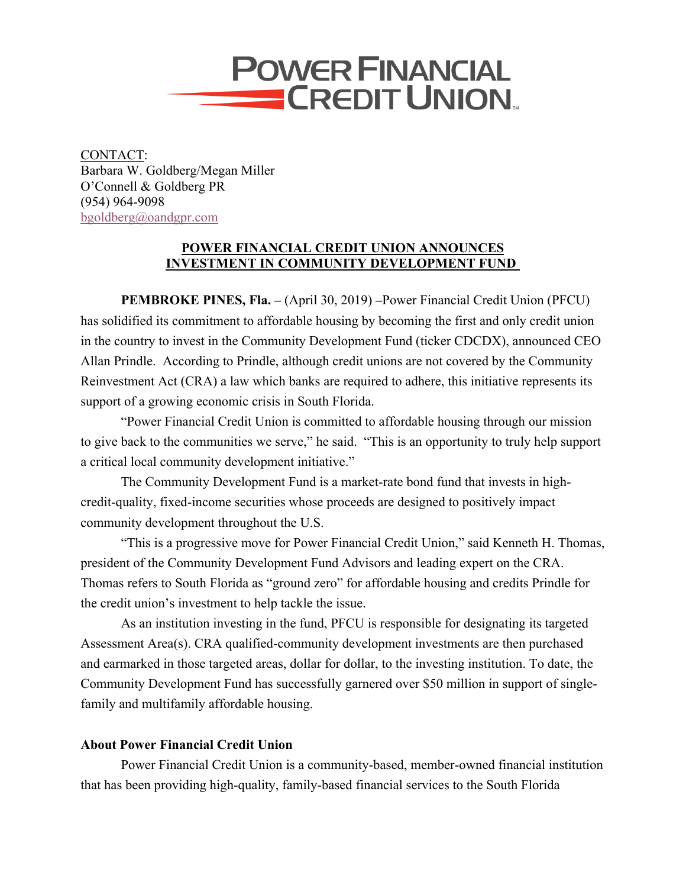

CONTACT: Barbara W. Goldberg/Megan Miller O'Connell & Goldberg PR (954) 964-9098 bgoldberg@oandgpr.com

## **POWER FINANCIAL CREDIT UNION ANNOUNCES INVESTMENT IN COMMUNITY DEVELOPMENT FUND**

**PEMBROKE PINES, Fla. –** (April 30, 2019) **–**Power Financial Credit Union (PFCU) has solidified its commitment to affordable housing by becoming the first and only credit union in the country to invest in the Community Development Fund (ticker CDCDX), announced CEO Allan Prindle. According to Prindle, although credit unions are not covered by the Community Reinvestment Act (CRA) a law which banks are required to adhere, this initiative represents its support of a growing economic crisis in South Florida.

"Power Financial Credit Union is committed to affordable housing through our mission to give back to the communities we serve," he said. "This is an opportunity to truly help support a critical local community development initiative."

The Community Development Fund is a market-rate bond fund that invests in highcredit-quality, fixed-income securities whose proceeds are designed to positively impact community development throughout the U.S.

"This is a progressive move for Power Financial Credit Union," said Kenneth H. Thomas, president of the Community Development Fund Advisors and leading expert on the CRA. Thomas refers to South Florida as "ground zero" for affordable housing and credits Prindle for the credit union's investment to help tackle the issue.

As an institution investing in the fund, PFCU is responsible for designating its targeted Assessment Area(s). CRA qualified-community development investments are then purchased and earmarked in those targeted areas, dollar for dollar, to the investing institution. To date, the Community Development Fund has successfully garnered over \$50 million in support of singlefamily and multifamily affordable housing.

## **About Power Financial Credit Union**

Power Financial Credit Union is a community-based, member-owned financial institution that has been providing high-quality, family-based financial services to the South Florida